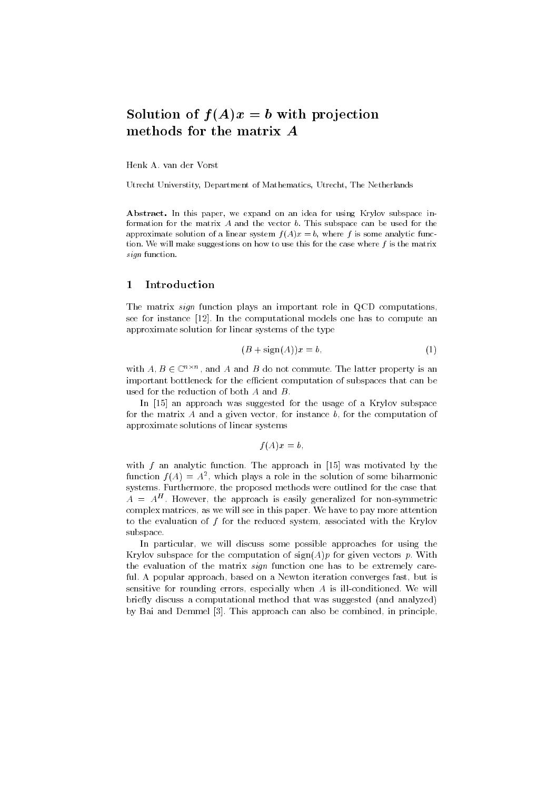# Solution of  $f(A)x = b$  with projection methods for the matrix A

Henk A. van der Vorst

Utrecht Universtity, Department of Mathematics, Utrecht, The Netherlands

Abstract. In this paper, we expand on an idea for using Krylov subspace information for the matrix  $A$  and the vector  $b$ . This subspace can be used for the approximate solution of a linear system  $f(A)x = b$ , where f is some analytic function. We will make suggestions on how to use this for the case where  $f$  is the matrix sign function.

#### Introduction  $\mathbf{1}$ --

The matrix *sign* function plays an important role in QCD computations, see for instance [12]. In the computational models one has to compute an approximate solution for linear systems of the type

$$
(B + sign(A))x = b,\t\t(1)
$$

with  $A, B \in \mathbb{C}^{n \times n}$ , and A and B do not commute. The latter property is an important bottleneck for the efficient computation of subspaces that can be used for the reduction of both A and B.

In [15] an approach was suggested for the usage of a Krylov subspace for the matrix  $A$  and a given vector, for instance  $b$ , for the computation of approximate solutions of linear systems

$$
f(A)x=b,
$$

with  $f$  an analytic function. The approach in [15] was motivated by the  $f$ unction  $f(A) \equiv A^2$ , which plays a role in the solution of some biharmonic systems. Furthermore, the proposed methods were outlined for the case that  $A \equiv A^+$ . However, the approach is easily generalized for non-symmetric complex matrices, as we will see in this paper. We have to pay more attention to the evaluation of f for the reduced system, associated with the Krylov subspace.

In particular, we will discuss some possible approaches for using the Krylov subspace for the computation of  $sign(A)p$  for given vectors p. With the evaluation of the matrix sign function one has to be extremely careful. A popular approach, based on a Newton iteration converges fast, but is sensitive for rounding errors, especially when A is ill-conditioned. We will briefly discuss a computational method that was suggested (and analyzed) by Bai and Demmel [3]. This approach can also be combined, in principle,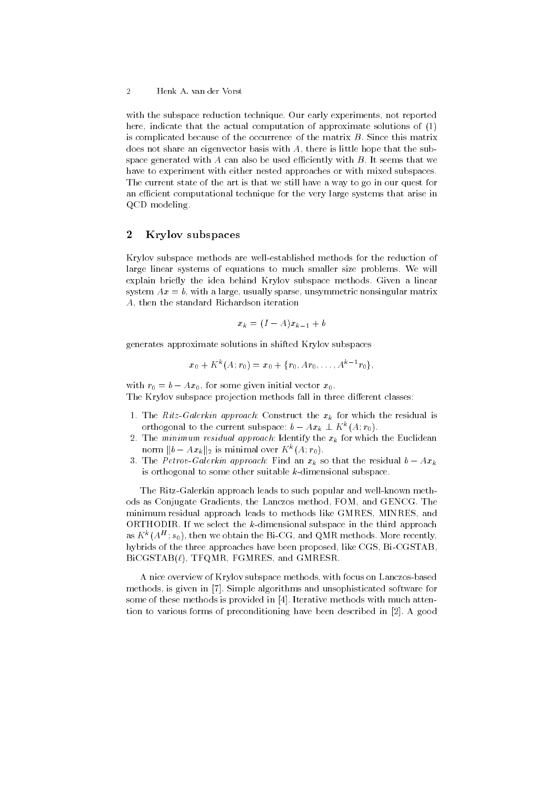$\overline{2}$ 2 Henk A. van der Vorst

with the subspace reduction technique. Our early experiments, not reported here, indicate that the actual computation of approximate solutions of (1) is complicated because of the occurrence of the matrix  $B$ . Since this matrix does not share an eigenvector basis with A, there is little hope that the subspace generated with  $A$  can also be used efficiently with  $B$ . It seems that we have to experiment with either nested approaches or with mixed subspaces. The current state of the art is that we still have a way to go in our quest for an efficient computational technique for the very large systems that arise in QCD modeling.

# 2Krylov subspaces

Krylov subspace methods are well-established methods for the reduction of large linear systems of equations to much smaller size problems. We will explain briefly the idea behind Krylov subspace methods. Given a linear system  $Ax = b$ , with a large, usually sparse, unsymmetric nonsingular matrix A, then the standard Richardson iteration

$$
x_k = (I - A)x_{k-1} + b
$$

generates approximate solutions in shifted Krylov subspaces

$$
x_0+K^k(A;r_0)=x_0+\{r_0,Ar_0,\ldots,A^{k-1}r_0\},\,
$$

with  $r_0 = b - Ax_0$ , for some given initial vector  $x_0$ . The Krylov subspace projection methods fall in three different classes:

- 1. The Ritz-Galerkin approach: Construct the  $x_k$  for which the residual is orthogonal to the current subspace:  $b = Ax_k \perp K^k(A;r_0)$ .
- 2. The minimum residual approach: Identify the  $x_k$  for which the Euclidean norm  $||b - Ax_k||_2$  is minimal over  $K^k(A; r_0)$ .
- 3. The Petrov-Galerkin approach: Find an  $x_k$  so that the residual  $b Ax_k$ is orthogonal to some other suitable k-dimensional subspace.

The Ritz-Galerkin approach leads to such popular and well-known methods as Conjugate Gradients, the Lanczos method, FOM, and GENCG. The minimum residual approach leads to methods like GMRES, MINRES, and ORTHODIR. If we select the  $k$ -dimensional subspace in the third approach as  $K^{\ast}(A^{\pm};s_{0})$ , then we obtain the Bi-CG, and QMR methods. More recently, hybrids of the three approaches have been proposed, like CGS, Bi-CGSTAB,  $BICGSTAB(\ell)$ ,  $TFQMR$ ,  $FGMRES$ , and  $GMRESR$ .

A nice overview of Krylov subspace methods, with focus on Lanczos-based methods, is given in [7]. Simple algorithms and unsophisticated software for some of these methods is provided in [4]. Iterative methods with much attention to various forms of preconditioning have been described in [2]. A good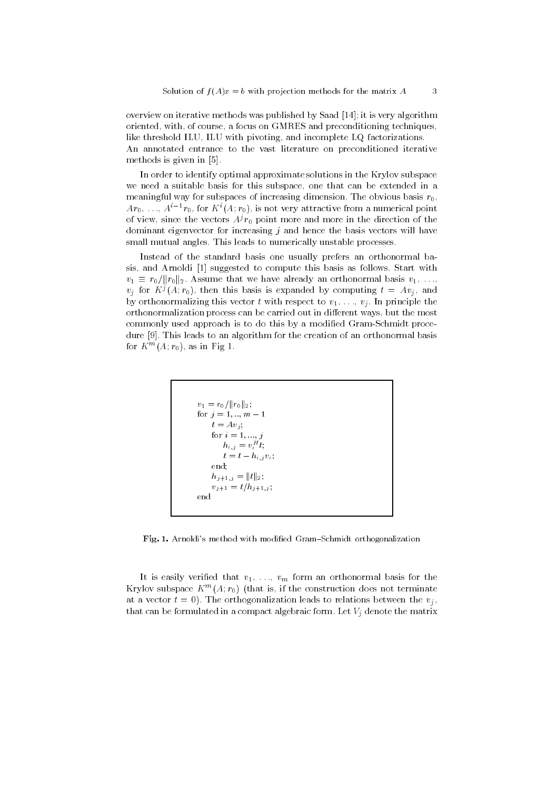overview on iterative methods was published by Saad [14]; it is very algorithm oriented, with, of course, a focus on GMRES and preconditioning techniques, like threshold ILU, ILU with pivoting, and incomplete LQ factorizations. An annotated entrance to the vast literature on preconditioned iterative methods is given in [5].

In order to identify optimal approximate solutions in the Krylov subspace we need a suitable basis for this subspace, one that can be extended in a meaningful way for subspaces of increasing dimension. The obvious basis  $r_0$ ,  $Ar_0, \ldots, A^{i-1}r_0$ , for  $K^i(A; r_0)$ , is not very attractive from a numerical point of view, since the vectors  $A^{j}r_{0}$  point more and more in the direction of the dominant eigenvector for increasing  $j$  and hence the basis vectors will have small mutual angles. This leads to numerically unstable processes.

Instead of the standard basis one usually prefers an orthonormal basis, and Arnoldi [1] suggested to compute this basis as follows. Start with  $v_1 \equiv r_0/\|r_0\|_2$ . Assume that we have already an orthonormal basis  $v_1, \ldots, v_n$  $v_i$  for  $K^j(A; r_0)$ , then this basis is expanded by computing  $t = Av_i$ , and by orthonormalizing this vector t with respect to  $v_1, \ldots, v_j$ . In principle the orthonormalization process can be carried out in different ways, but the most commonly used approach is to do this by a modified Gram-Schmidt procedure [9]. This leads to an algorithm for the creation of an orthonormal basis for  $K^m(A; r_0)$ , as in Fig 1.

$$
v_1 = r_0 / ||r_0||_2;
$$
  
for  $j = 1, ..., m - 1$   
 $t = Av_j;$   
for  $i = 1, ..., j$   
 $h_{i,j} = v_i^H t;$   
 $t = t - h_{i,j} v_i;$   
end;  
 $h_{j+1,j} = ||t||_2;$   
 $v_{j+1} = t/h_{j+1,j};$   
end

Fig. 1. Arnoldi's method with modified Gram-Schmidt orthogonalization

It is easily verified that  $v_1, \ldots, v_m$  form an orthonormal basis for the Krylov subspace  $K = \{A; r_0\}$  (that is, if the construction does not terminate at a vector  $t = 0$ ). The orthogonalization leads to relations between the  $v_i$ , that can be formulated in a compact algebraic form. Let  $V_j$  denote the matrix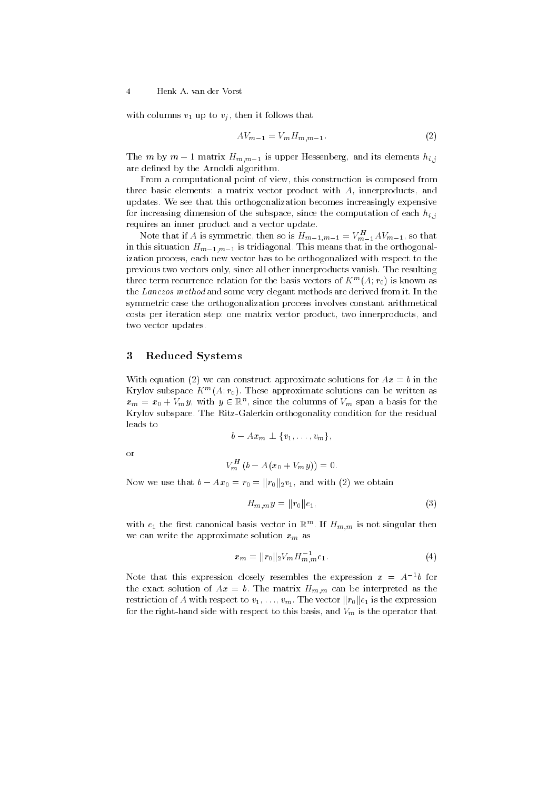with columns  $v_1$  up to  $v_j$ , then it follows that

$$
AV_{m-1} = V_m H_{m,m-1}.
$$
\n
$$
(2)
$$

The *m* by  $m-1$  matrix  $H_{m,m-1}$  is upper Hessenberg, and its elements  $h_{i,j}$ are defined by the Arnoldi algorithm.

From a computational point of view, this construction is composed from three basic elements: a matrix vector product with A, innerproducts, and updates. We see that this orthogonalization becomes increasingly expensive for increasing dimension of the subspace, since the computation of each  $h_{i,j}$ requires an inner product and a vector update.

Note that if A is symmetric, then so is  $H_{m-1,m-1} = V_{m-1}^H A V_{m-1}$ , so that in this situation  $H_{m-1,m-1}$  is tridiagonal. This means that in the orthogonalization process, each new vector has to be orthogonalized with respect to the previous two vectors only, since all other innerproducts vanish. The resulting three term recurrence relation for the basis vectors of  $K^m(A; r_0)$  is known as the Lanczos method and some very elegant methods are derived from it. In the symmetric case the orthogonalization process involves constant arithmetical costs per iteration step: one matrix vector product, two innerproducts, and two vector updates.

# 3Reduced Systems

With equation (2) we can construct approximate solutions for  $Ax = b$  in the Krylov subspace  $K^m(A; r_0)$ . These approximate solutions can be written as  $x_m = x_0 + V_m y$ , with  $y \in \mathbb{R}^n$ , since the columns of  $V_m$  span a basis for the Krylov subspace. The Ritz-Galerkin orthogonality condition for the residual leads to

$$
b = Ax_m \perp \{v_1, \ldots, v_m\},
$$

$$
V_m^H (b - A(x_0 + V_m y)) = 0.
$$

Now we use that  $b - Ax_0 = r_0 = ||r_0||_2v_1$ , and with (2) we obtain

$$
H_{m,m}y = ||r_0||e_1,
$$
\n(3)

with  $e_1$  the first canonical basis vector in  $\mathbb{R}^m.$  If  $H_{m,m}$  is not singular then we can write the approximate solution  $x_m$  as

$$
x_m = ||r_0||_2 V_m H_{m,m}^{-1} e_1.
$$
\n<sup>(4)</sup>

Note that this expression closely resembles the expression  $x = A^{-1}b$  for the exact solution of  $Ax = b$ . The matrix  $H_{m,m}$  can be interpreted as the restriction of A with respect to  $v_1, \ldots, v_m$ . The vector  $||r_0||e_1$  is the expression for the right-hand side with respect to this basis, and  $V_m$  is the operator that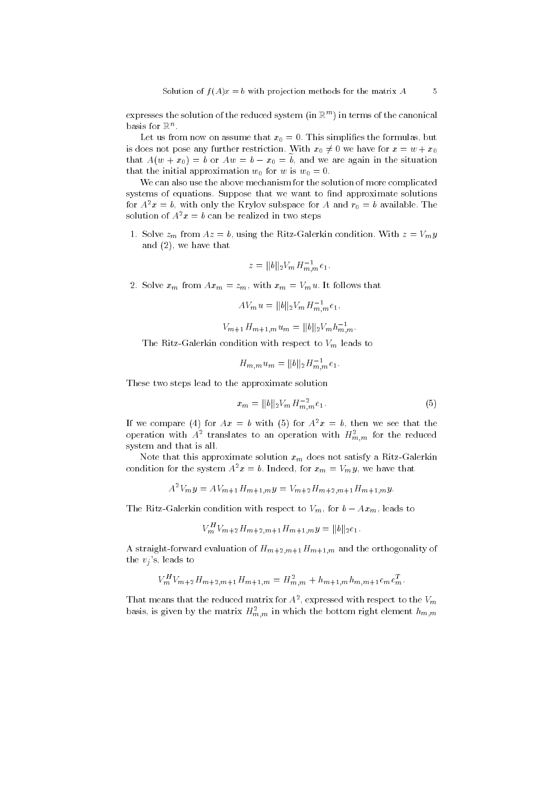expresses the solution of the reduced system (in Rm ) in terms of the canonical  $_{\rm{DASIS\;IOI\;I}\!\!\!\!N}$  .

Let us from now on assume that  $x_0 = 0$ . This simplifies the formulas, but is does not pose any further restriction. With  $x_0 \neq 0$  we have for  $x = w + x_0$ that  $A(w + x_0) = b$  or  $Aw = b - x_0 = b$ , and we are again in the situation that the initial approximation  $w_0$  for w is  $w_0 = 0$ .

We can also use the above mechanism for the solution of more complicated systems of equations. Suppose that we want to find approximate solutions for  $A^2x = b$ , with only the Krylov subspace for A and  $r_0 = b$  available. The solution of  $A^2x = b$  can be realized in two steps

1. Solve  $z_m$  from  $Az = b$ , using the Ritz-Galerkin condition. With  $z = V_m y$ and (2), we have that

$$
z = ||b||_2 V_m H_{m,m}^{-1} e_1.
$$

2. Solve  $x_m$  from  $Ax_m = z_m$ , with  $x_m = V_m u$ . It follows that

$$
AV_m u = ||b||_2 V_m H_{m,m}^{-1} e_1,
$$

$$
V_{m+1}H_{m+1,m}u_m = ||b||_2 V_m h_{m,m}^{-1}.
$$

The Ritz-Galerkin condition with respect to  $V_m$  leads to

$$
H_{m,m}u_m = ||b||_2 H_{m,m}^{-1}e_1.
$$

These two steps lead to the approximate solution

$$
x_m = ||b||_2 V_m H_{m,m}^{-2} e_1.
$$
\n(5)

If we compare (4) for  $Ax = b$  with (5) for  $A^2x = b$ , then we see that the operation with  $A^{\dagger}$  translates to an operation with  $H_{m,m}^{\dagger}$  for the reduced system and that is all.

Note that this approximate solution  $x_m$  does not satisfy a Ritz-Galerkin condition for the system  $A^2x = b$ . Indeed, for  $x_m = V_m y$ , we have that

$$
A^{2}V_{m}y = AV_{m+1}H_{m+1,m}y = V_{m+2}H_{m+2,m+1}H_{m+1,m}y.
$$

The Ritz-Galerkin condition with respect to  $V_m$ , for  $b - Ax_m$ , leads to

$$
V_m^H V_{m+2} H_{m+2,m+1} H_{m+1,m} y = ||b||_2 e_1.
$$

A straight-forward evaluation of  $H_{m+2,m+1}H_{m+1,m}$  and the orthogonality of the  $v_i$ 's, leads to

$$
V_m^H V_{m+2} H_{m+2,m+1} H_{m+1,m} = H_{m,m}^2 + h_{m+1,m} h_{m,m+1} e_m e_m^T.
$$

That means that the reduced matrix for  $A^*$ , expressed with respect to the  $V_m$ basis, is given by the matrix  $H_{m,m}^-$  in which the bottom right element  $h_{m,m}^-$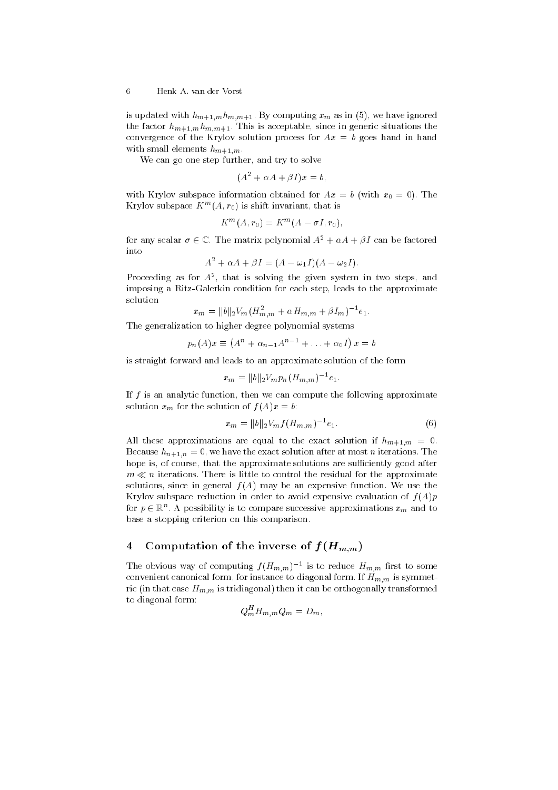# 6 Henk A. van der Vorst

is updated with  $h_{m+1,m}h_{m,m+1}$ . By computing  $x_m$  as in (5), we have ignored the factor  $h_{m+1,m}h_{m,m+1}$ . This is acceptable, since in generic situations the convergence of the Krylov solution process for  $Ax = b$  goes hand in hand with small elements  $h_{m+1,m}$ .

We can go one step further, and try to solve

 $(A^2 + \alpha A + \beta I)x = b$ ,

with Krylov subspace information obtained for  $Ax = b$  (with  $x_0 = 0$ ). The Krylov subspace  $K^-(A, r_0)$  is shift invariant, that is

$$
K^m(A, r_0) = K^m(A - \sigma I, r_0),
$$

for any scalar  $\sigma \in \mathbb{C}$ . The matrix polynomial  $A^2 + \alpha A + \beta I$  can be factored into

$$
A^2 + \alpha A + \beta I = (A - \omega_1 I)(A - \omega_2 I).
$$

Proceeding as for A2 , that is solving the given system in two steps, and imposing a Ritz-Galerkin condition for each step, leads to the approximate solution

$$
x_m = ||b||_2 V_m (H_{m,m}^2 + \alpha H_{m,m} + \beta I_m)^{-1} e_1.
$$

The generalization to higher degree polynomial systems

$$
p_n(A)x \equiv (A^n + \alpha_{n-1}A^{n-1} + \ldots + \alpha_0I) x = b
$$

is straight forward and leads to an approximate solution of the form

$$
x_m = ||b||_2 V_m p_n (H_{m,m})^{-1} e_1.
$$

If  $f$  is an analytic function, then we can compute the following approximate solution  $x_m$  for the solution of  $f(A)x = b$ :

$$
x_m = ||b||_2 V_m f(H_{m,m})^{-1} e_1.
$$
\n(6)

All these approximations are equal to the exact solution if  $h_{m+1,m} = 0$ . Because  $h_{n+1,n} = 0$ , we have the exact solution after at most *n* iterations. The hope is, of course, that the approximate solutions are sufficiently good after  $m \ll n$  iterations. There is little to control the residual for the approximate solutions, since in general  $f(A)$  may be an expensive function. We use the Krylov subspace reduction in order to avoid expensive evaluation of  $f(A)p$ for  $p\in \mathbb{R}^n.$  A possibility is to compare successive approximations  $x_m$  and to base a stopping criterion on this comparison.

# 4Computation of the inverse of  $f(H_{m,m})$

The obvious way of computing  $f(H_{m,m})$  1 is to reduce  $H_{m,m}$  first to some convenient canonical form, for instance to diagonal form. If  $H_{m,m}$  is symmetric (in that case  $H_{m,m}$  is tridiagonal) then it can be orthogonally transformed to diagonal form:

$$
Q_m^H H_{m,m} Q_m = D_m,
$$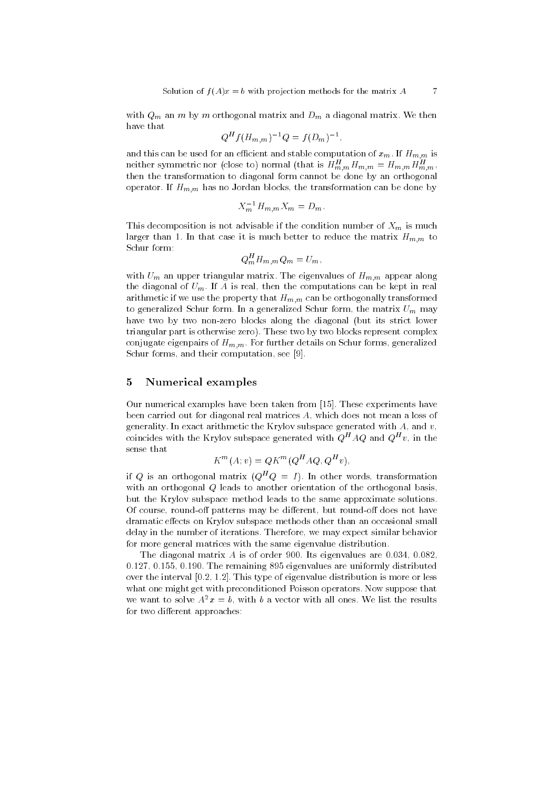with  $Q_m$  an m by m orthogonal matrix and  $D_m$  a diagonal matrix. We then have that

$$
Q^H f(H_{m,m})^{-1} Q = f(D_m)^{-1},
$$

and this can be used for an efficient and stable computation of  $x_m$ . If  $H_{m,m}$  is neither symmetric nor (close to) normal (that is  $H_{m,m}^+H_{m,m}^+ = H_{m,m}^+H_{m,m}^$ then the transformation to diagonal form cannot be done by an orthogonal operator. If  $H_{m,m}$  has no Jordan blocks, the transformation can be done by

$$
X_m^{-1} H_{m,m} X_m = D_m.
$$

This decomposition is not advisable if the condition number of  $X_m$  is much larger than 1. In that case it is much better to reduce the matrix  $H_{m,m}$  to Schur form:

$$
Q_m^H H_{m,m} Q_m = U_m,
$$

with  $U_m$  an upper triangular matrix. The eigenvalues of  $H_{m,m}$  appear along the diagonal of  $U_m$ . If A is real, then the computations can be kept in real arithmetic if we use the property that  $H_{m,m}$  can be orthogonally transformed to generalized Schur form. In a generalized Schur form, the matrix  $U_m$  may have two by two non-zero blocks along the diagonal (but its strict lower triangular part is otherwise zero). These two by two blocks represent complex conjugate eigenpairs of  $H_{m,m}$ . For further details on Schur forms, generalized Schur forms, and their computation, see [9].

## 5Numerical examples

Our numerical examples have been taken from [15]. These experiments have been carried out for diagonal real matrices A, which does not mean a loss of generality. In exact arithmetic the Krylov subspace generated with  $A$ , and  $v$ , coincides with the Krylov subspace generated with  $Q$  -AQ and  $Q$  -v, in the sense that

$$
K^m(A; v) = QK^m(Q^H A Q, Q^H v),
$$

if Q is an orthogonal matrix  $(Q^HQ = I)$ . In other words, transformation with an orthogonal Q leads to another orientation of the orthogonal basis, but the Krylov subspace method leads to the same approximate solutions. Of course, round-off patterns may be different, but round-off does not have dramatic effects on Krylov subspace methods other than an occasional small delay in the number of iterations. Therefore, we may expect similar behavior for more general matrices with the same eigenvalue distribution.

The diagonal matrix  $A$  is of order 900. Its eigenvalues are 0.034, 0.082. 0:127, 0:155, 0:190. The remaining 895 eigenvalues are uniformly distributed over the interval  $[0.2, 1.2]$ . This type of eigenvalue distribution is more or less what one might get with preconditioned Poisson operators. Now suppose that we want to solve  $A^2x = b$ , with b a vector with all ones. We list the results for two different approaches: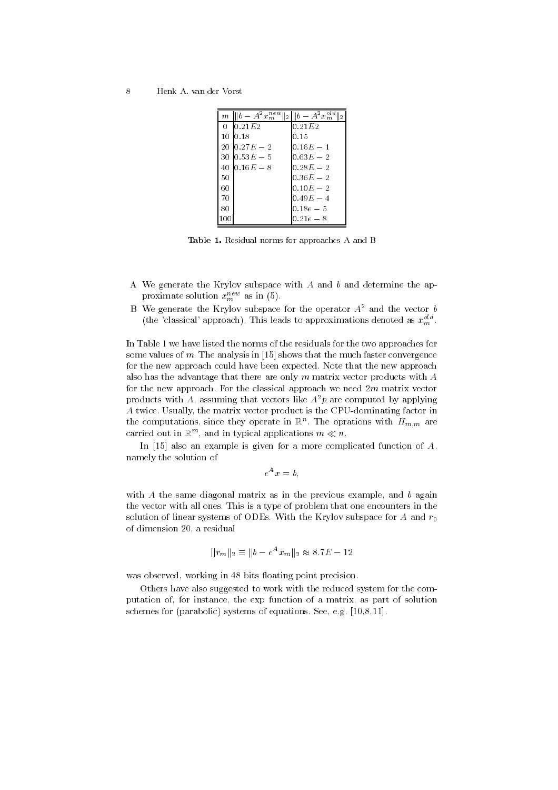$\overline{8}$ 8 Henk A. van der Vorst

|    | $m \parallel b - A^2 x_m^{new} \parallel_2 \parallel b - A^2 x_m^{old}$ |             |
|----|-------------------------------------------------------------------------|-------------|
|    | 0 $10.21E2$                                                             | 0.21E2      |
|    | 10 0.18                                                                 | 0.15        |
|    | 20 $0.27E - 2$                                                          | $0.16E - 1$ |
|    | 30 $10.53E - 5$                                                         | $0.63E - 2$ |
|    | 40 $0.16E - 8$                                                          | $0.28E - 2$ |
| 50 |                                                                         | $0.36E - 2$ |
| 60 |                                                                         | $0.10E - 2$ |
| 70 |                                                                         | $0.49E - 4$ |
| 80 |                                                                         | $0.18e - 5$ |
|    |                                                                         | $0.21e - 8$ |

Table 1. Residual norms for approaches A and B

- A We generate the Krylov subspace with  $A$  and  $b$  and determine the approximate solution  $x_{m}^{\dots}$  as in (5).
- B We generate the Krylov subspace for the operator  $A^2$  and the vector  $b$ (the 'classical' approach). This leads to approximations denoted as  $x_m^{\circ\iota a}$ .

In Table 1 we have listed the norms of the residuals for the two approaches for some values of m. The analysis in  $[15]$  shows that the much faster convergence for the new approach could have been expected. Note that the new approach also has the advantage that there are only  $m$  matrix vector products with  $A$ for the new approach. For the classical approach we need  $2m$  matrix vector products with A, assuming that vectors like  $A^2p$  are computed by applying A twice. Usually, the matrix vector product is the CPU-dominating factor in the computations, since they operate in  $\mathbb{R}^n$ . The oprations with  $H_{m,m}$  are carried out in  $\mathbb{R}^m$ , and in typical applications  $m \ll n$ .

In [15] also an example is given for a more complicated function of  $A$ , namely the solution of

$$
e^A x = b,
$$

with  $A$  the same diagonal matrix as in the previous example, and  $b$  again the vector with all ones. This is a type of problem that one encounters in the solution of linear systems of ODEs. With the Krylov subspace for A and  $r_0$ of dimension 20, a residual

$$
||r_m||_2 \equiv ||b - e^A x_m||_2 \approx 8.7E - 12
$$

was observed, working in 48 bits floating point precision.

Others have also suggested to work with the reduced system for the computation of, for instance, the exp function of a matrix, as part of solution schemes for (parabolic) systems of equations. See, e.g. [10,8,11].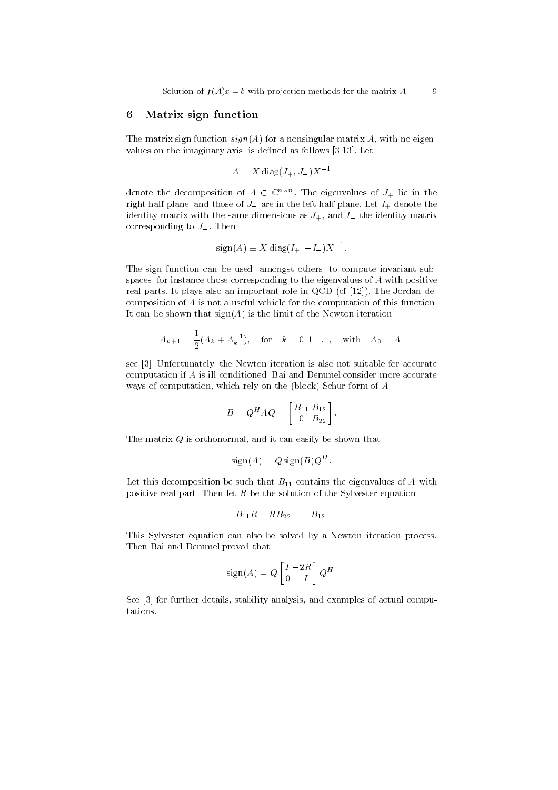# 6Matrix sign function

The matrix sign function  $sign(A)$  for a nonsingular matrix A, with no eigenvalues on the imaginary axis, is defined as follows  $[3,13]$ . Let

$$
A = X \operatorname{diag}(J_+, J_-) X^{-1}
$$

denote the decomposition of  $A \in \mathbb{C}^{n \times n}$ . The eigenvalues of  $J_+$  lie in the right half plane, and those of  $J$  are in the left half plane. Let  $I_+$  denote the identity matrix with the same dimensions as  $J_{+}$ , and  $I_{-}$  the identity matrix corresponding to  $J_{-}$ . Then

$$
sign(A) \equiv X diag(I_+, -I_-) X^{-1}.
$$

The sign function can be used, amongst others, to compute invariant subspaces, for instance those corresponding to the eigenvalues of A with positive real parts. It plays also an important role in QCD (cf [12]). The Jordan decomposition of A is not a useful vehicle for the computation of this function. It can be shown that  $sign(A)$  is the limit of the Newton iteration

$$
A_{k+1} = \frac{1}{2}(A_k + A_k^{-1}), \text{ for } k = 0, 1, ..., \text{ with } A_0 = A.
$$

see [3]. Unfortunately, the Newton iteration is also not suitable for accurate computation if A is ill-conditioned. Bai and Demmel consider more accurate ways of computation, which rely on the (block) Schur form of A:

$$
B = Q^{H} A Q = \begin{bmatrix} B_{11} & B_{12} \\ 0 & B_{22} \end{bmatrix}.
$$

The matrix Q is orthonormal, and it can easily be shown that

$$
sign(A) = Q sign(B)Q^H.
$$

Let this decomposition be such that  $B_{11}$  contains the eigenvalues of A with positive real part. Then let  $R$  be the solution of the Sylvester equation

$$
B_{11}R - RB_{22} = -B_{12}.
$$

This Sylvester equation can also be solved by a Newton iteration process. Then Bai and Demmel proved that

$$
sign(A) = Q \begin{bmatrix} I & -2R \\ 0 & -I \end{bmatrix} Q^H.
$$

See [3] for further details, stability analysis, and examples of actual computations.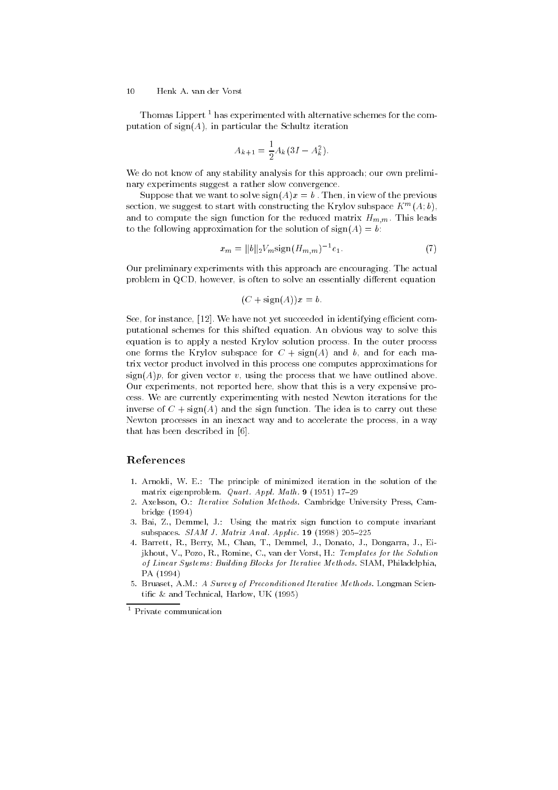# $10$ Henk A. van der Vorst

Thomas Lippert<sup>1</sup> has experimented with alternative schemes for the computation of  $sign(A)$ , in particular the Schultz iteration

$$
A_{k+1} = \frac{1}{2} A_k (3I - A_k^2).
$$

We do not know of any stability analysis for this approach; our own preliminary experiments suggest a rather slow convergence.

Suppose that we want to solve  $sign(A)x = b$ . Then, in view of the previous section, we suggest to start with constructing the Krylov subspace  $K^m(A; \theta)$ , and to compute the sign function for the reduced matrix  $H_{m,m}$ . This leads to the following approximation for the solution of  $sign(A) = b$ :

$$
x_m = ||b||_2 V_m \text{sign}(H_{m,m})^{-1} e_1. \tag{7}
$$

Our preliminary experiments with this approach are encouraging. The actual problem in QCD, however, is often to solve an essentially different equation

$$
(C + sign(A))x = b.
$$

See, for instance, [12]. We have not yet succeeded in identifying efficient computational schemes for this shifted equation. An obvious way to solve this equation is to apply a nested Krylov solution process. In the outer process one forms the Krylov subspace for  $C + \text{sign}(A)$  and b, and for each matrix vector product involved in this process one computes approximations for  $sign(A)p$ , for given vector v, using the process that we have outlined above. Our experiments, not reported here, show that this is a very expensive process. We are currently experimenting with nested Newton iterations for the inverse of  $C + \text{sign}(A)$  and the sign function. The idea is to carry out these Newton processes in an inexact way and to accelerate the process, in a way that has been described in [6].

# References

- 1. Arnoldi, W. E.: The principle of minimized iteration in the solution of the matrix eigenproblem. Quart. Appl. Math. 9 (1951) 17-29
- 2. Axelsson, O.: Iterative Solution Methods. Cambridge University Press, Cambridge (1994)
- 3. Bai, Z., Demmel, J.: Using the matrix sign function to compute invariant subspaces.  $SIAM$  J. Matrix Anal. Applic. 19 (1998) 205-225
- 4. Barrett, R., Berry, M., Chan, T., Demmel, J., Donato, J., Dongarra, J., Eijkhout, V., Pozo, R., Romine, C., van der Vorst, H.: Templates for the Solution of Linear Systems: Building Blocks for Iterative Methods. SIAM, Philadelphia, PA (1994)
- 5. Bruaset, A.M.: A Survey of Preconditioned Iterative Methods. Longman Scientic & and Technical, Harlow, UK (1995)

<sup>1</sup> Private communication